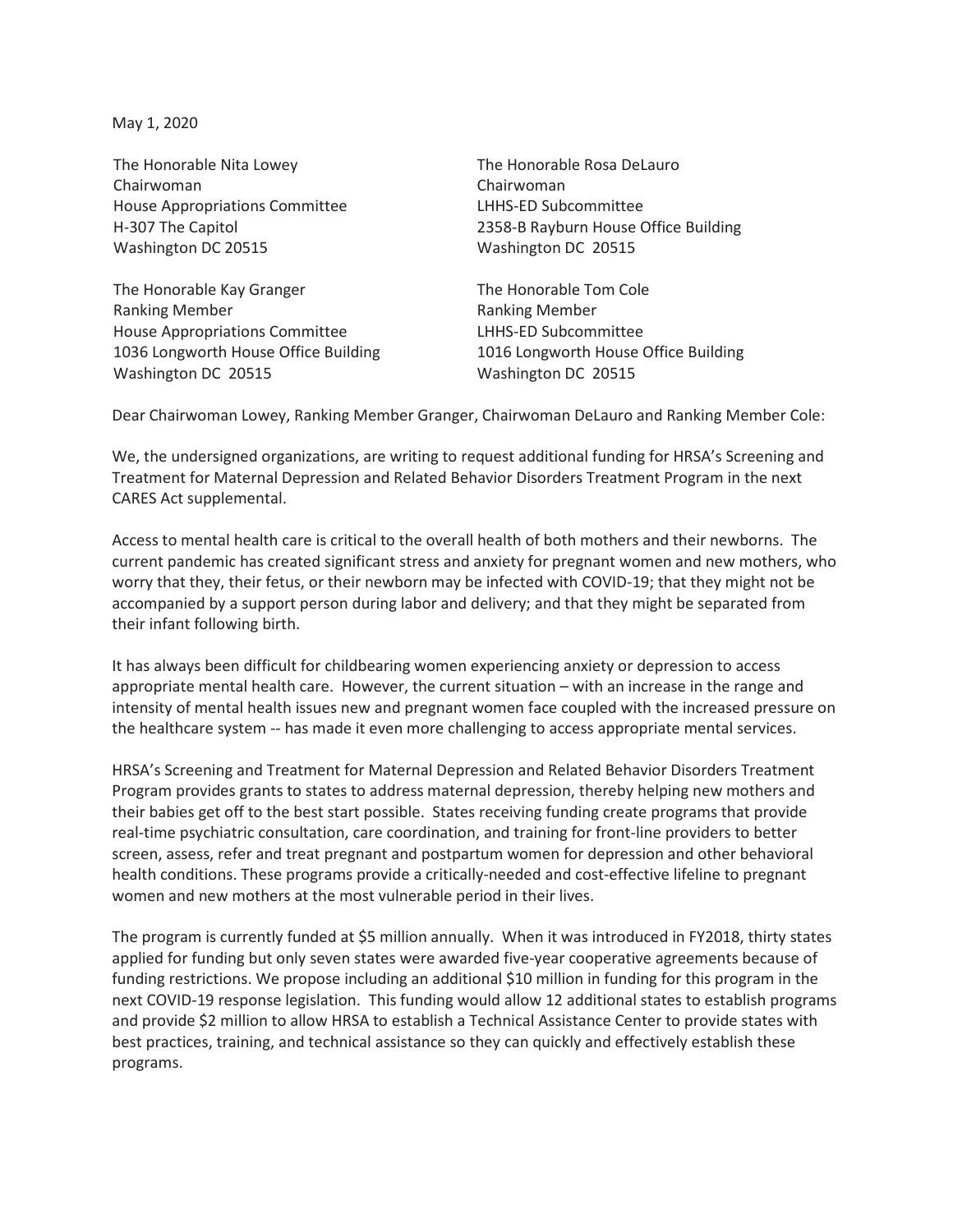May 1, 2020

The Honorable Nita Lowey Chairwoman House Appropriations Committee H-307 The Capitol Washington DC 20515

The Honorable Kay Granger Ranking Member House Appropriations Committee 1036 Longworth House Office Building Washington DC 20515

The Honorable Rosa DeLauro Chairwoman LHHS-ED Subcommittee 2358-B Rayburn House Office Building Washington DC 20515

The Honorable Tom Cole Ranking Member LHHS-ED Subcommittee 1016 Longworth House Office Building Washington DC 20515

Dear Chairwoman Lowey, Ranking Member Granger, Chairwoman DeLauro and Ranking Member Cole:

We, the undersigned organizations, are writing to request additional funding for HRSA's Screening and Treatment for Maternal Depression and Related Behavior Disorders Treatment Program in the next CARES Act supplemental.

Access to mental health care is critical to the overall health of both mothers and their newborns. The current pandemic has created significant stress and anxiety for pregnant women and new mothers, who worry that they, their fetus, or their newborn may be infected with COVID-19; that they might not be accompanied by a support person during labor and delivery; and that they might be separated from their infant following birth.

It has always been difficult for childbearing women experiencing anxiety or depression to access appropriate mental health care. However, the current situation – with an increase in the range and intensity of mental health issues new and pregnant women face coupled with the increased pressure on the healthcare system -- has made it even more challenging to access appropriate mental services.

HRSA's Screening and Treatment for Maternal Depression and Related Behavior Disorders Treatment Program provides grants to states to address maternal depression, thereby helping new mothers and their babies get off to the best start possible. States receiving funding create programs that provide real-time psychiatric consultation, care coordination, and training for front-line providers to better screen, assess, refer and treat pregnant and postpartum women for depression and other behavioral health conditions. These programs provide a critically-needed and cost-effective lifeline to pregnant women and new mothers at the most vulnerable period in their lives.

The program is currently funded at \$5 million annually. When it was introduced in FY2018, thirty states applied for funding but only seven states were awarded five-year cooperative agreements because of funding restrictions. We propose including an additional \$10 million in funding for this program in the next COVID-19 response legislation. This funding would allow 12 additional states to establish programs and provide \$2 million to allow HRSA to establish a Technical Assistance Center to provide states with best practices, training, and technical assistance so they can quickly and effectively establish these programs.